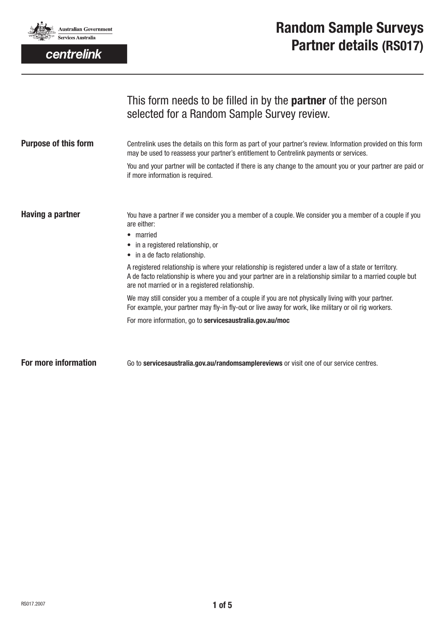

centrelink

| This form needs to be filled in by the <b>partner</b> of the person |
|---------------------------------------------------------------------|
| selected for a Random Sample Survey review.                         |
|                                                                     |

| <b>Purpose of this form</b> | Centrelink uses the details on this form as part of your partner's review. Information provided on this form<br>may be used to reassess your partner's entitlement to Centrelink payments or services.                                                                     |
|-----------------------------|----------------------------------------------------------------------------------------------------------------------------------------------------------------------------------------------------------------------------------------------------------------------------|
|                             | You and your partner will be contacted if there is any change to the amount you or your partner are paid or<br>if more information is required.                                                                                                                            |
| <b>Having a partner</b>     | You have a partner if we consider you a member of a couple. We consider you a member of a couple if you<br>are either:<br>• married<br>• in a registered relationship, or<br>• in a de facto relationship.                                                                 |
|                             | A registered relationship is where your relationship is registered under a law of a state or territory.<br>A de facto relationship is where you and your partner are in a relationship similar to a married couple but<br>are not married or in a registered relationship. |
|                             | We may still consider you a member of a couple if you are not physically living with your partner.<br>For example, your partner may fly-in fly-out or live away for work, like military or oil rig workers.                                                                |
|                             | For more information, go to servicesaustralia.gov.au/moc                                                                                                                                                                                                                   |
| For more information        | Go to servicesaustralia.gov.au/randomsamplereviews or visit one of our service centres.                                                                                                                                                                                    |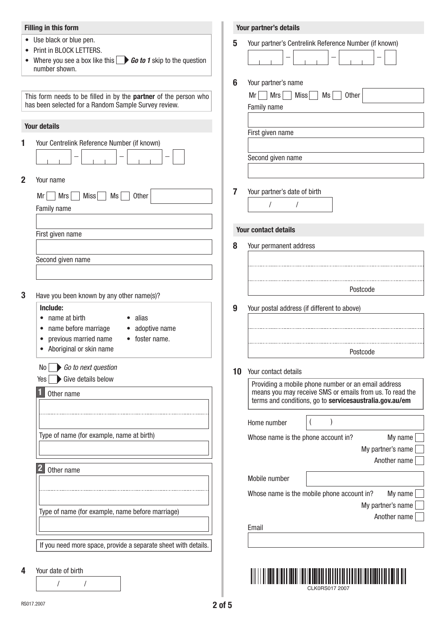### **Filling in this form**

- Use black or blue pen.
- Print in BLOCK LETTERS.
- Where you see a box like this **Go to 1** skip to the question number shown.

This form needs to be filled in by the **partner** of the person who has been selected for a Random Sample Survey review.

#### **Your details**

**1** Your Centrelink Reference Number (if known)

|  | - |  |  |
|--|---|--|--|
|  |   |  |  |

**2** Your name

| $Mrs$ Miss $MS$<br>Other<br>Mr |
|--------------------------------|
| Family name                    |
|                                |
| First given name               |
|                                |
| Second given name              |
|                                |

**3** Have you been known by any other name(s)?

## **Include:**

- name at birth
- alias
- name before marriage
- previous married name • foster name.

• adoptive name

- Aboriginal or skin name
- No *Go to next question*

 $Yes \rightarrow Give details below$ 

**1** Other name

Type of name (for example, name at birth)

**2** Other name

Type of name (for example, name before marriage)

If you need more space, provide a separate sheet with details.

**4** Your date of birth

/ /

| 5  | Your partner's Centrelink Reference Number (if known)                                                                                                                                |
|----|--------------------------------------------------------------------------------------------------------------------------------------------------------------------------------------|
| 6  | Your partner's name<br>Mrs<br>Miss<br>Mr<br>Ms<br>Other<br>Family name                                                                                                               |
|    | First given name                                                                                                                                                                     |
|    | Second given name                                                                                                                                                                    |
| 7  | Your partner's date of birth<br>1                                                                                                                                                    |
|    | <b>Your contact details</b>                                                                                                                                                          |
| 8  | Your permanent address                                                                                                                                                               |
|    |                                                                                                                                                                                      |
|    |                                                                                                                                                                                      |
|    | Postcode                                                                                                                                                                             |
| 9  | Your postal address (if different to above)                                                                                                                                          |
|    | Postcode                                                                                                                                                                             |
| 10 | Your contact details                                                                                                                                                                 |
|    | Providing a mobile phone number or an email address                                                                                                                                  |
|    | Home number<br>)<br>(                                                                                                                                                                |
|    | Whose name is the phone account in?                                                                                                                                                  |
|    |                                                                                                                                                                                      |
|    | means you may receive SMS or emails from us. To read the<br>terms and conditions, go to servicesaustralia.gov.au/em<br>My name<br>My partner's name<br>Another name<br>Mobile number |

Email

CLK0RS017 2007

Another name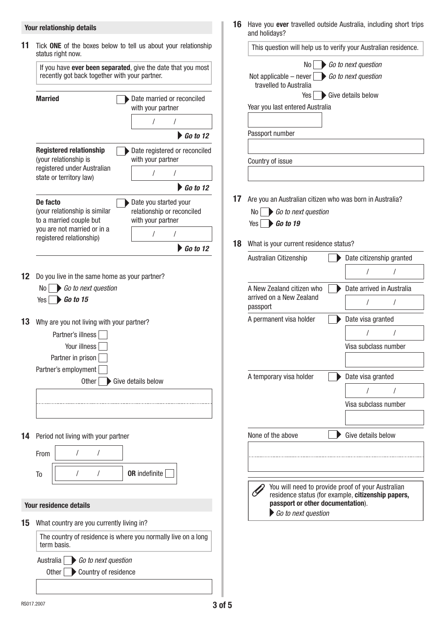## **Your relationship details**

|                                                                                                        | If you have ever been separated, give the date that you most<br>recently got back together with your partner. |
|--------------------------------------------------------------------------------------------------------|---------------------------------------------------------------------------------------------------------------|
| <b>Married</b>                                                                                         | Date married or reconciled<br>with your partner                                                               |
|                                                                                                        | $\prime$<br>$\prime$                                                                                          |
|                                                                                                        | $\triangleright$ Go to 12                                                                                     |
| <b>Registered relationship</b><br>(your relationship is                                                | Date registered or reconciled<br>with your partner                                                            |
| registered under Australian<br>state or territory law)                                                 | T<br>/                                                                                                        |
|                                                                                                        | $\bigtriangledown$ Go to 12                                                                                   |
| De facto<br>(your relationship is similar<br>to a married couple but                                   | Date you started your<br>relationship or reconciled<br>with your partner                                      |
| you are not married or in a<br>registered relationship)                                                | T<br>T                                                                                                        |
|                                                                                                        | $\triangleright$ Go to 12                                                                                     |
| Go to next question<br>No I<br>$Yes \rightarrow Go to 15$<br>Why are you not living with your partner? |                                                                                                               |
| Partner's illness<br>Your illness<br>Partner in prison<br>Partner's employment<br>Other                | Give details below                                                                                            |
|                                                                                                        |                                                                                                               |
| Period not living with your partner                                                                    |                                                                                                               |
| From<br>I                                                                                              | I                                                                                                             |
| I<br>To                                                                                                | <b>OR</b> indefinite<br>I                                                                                     |
| <b>Your residence details</b>                                                                          |                                                                                                               |
| What country are you currently living in?                                                              |                                                                                                               |

**16** Have you **ever** travelled outside Australia, including short trips and holidays?

|                                                                                       | This question will help us to verify your Australian residence. |
|---------------------------------------------------------------------------------------|-----------------------------------------------------------------|
| No I                                                                                  | Go to next question                                             |
| Not applicable – never $\bigcup$ <i>Go to next question</i><br>travelled to Australia | Yes Give details below                                          |
| Year you last entered Australia                                                       |                                                                 |
|                                                                                       |                                                                 |
| Passport number                                                                       |                                                                 |
| Country of issue                                                                      |                                                                 |
|                                                                                       |                                                                 |
|                                                                                       |                                                                 |
| Are you an Australian citizen who was born in Australia?                              |                                                                 |
| No I<br>Go to next question<br>$Yes \rightarrow Go to 19$                             |                                                                 |
|                                                                                       |                                                                 |
| What is your current residence status?                                                |                                                                 |
| Australian Citizenship                                                                | Date citizenship granted                                        |
|                                                                                       | 1                                                               |
| A New Zealand citizen who                                                             | Date arrived in Australia                                       |
| arrived on a New Zealand<br>passport                                                  | I<br>Ι                                                          |
| A permanent visa holder                                                               | Date visa granted                                               |
|                                                                                       |                                                                 |
|                                                                                       | Visa subclass number                                            |
|                                                                                       |                                                                 |
| A temporary visa holder                                                               | Date visa granted                                               |
|                                                                                       | I<br>1                                                          |
|                                                                                       | Visa subclass number                                            |
|                                                                                       |                                                                 |
| None of the above                                                                     | Give details below                                              |
|                                                                                       |                                                                 |
|                                                                                       |                                                                 |
|                                                                                       |                                                                 |
|                                                                                       | You will need to provide proof of your Australian               |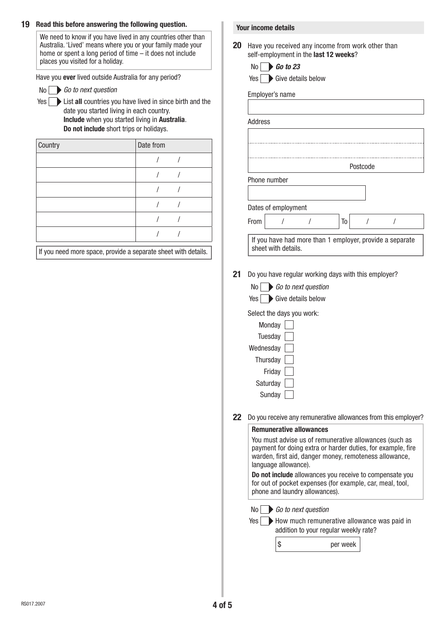### **19 Read this before answering the following question.**

We need to know if you have lived in any countries other than Australia. 'Lived' means where you or your family made your home or spent a long period of time – it does not include places you visited for a holiday.

Have you **ever** lived outside Australia for any period?

- No *Go to next question*
- Yes **List all** countries you have lived in since birth and the date you started living in each country. **Include** when you started living in **Australia**.

**Do not include** short trips or holidays.

| Country | Date from |  |
|---------|-----------|--|
|         |           |  |
|         |           |  |
|         |           |  |
|         |           |  |
|         |           |  |
|         |           |  |

If you need more space, provide a separate sheet with details.

#### **Your income details**

**20** Have you received any income from work other than self-employment in the **last 12 weeks**?

No *Go to 23*

Yes Give details below

Employer's name

|              |                     |                                                          | Postcode |  |
|--------------|---------------------|----------------------------------------------------------|----------|--|
| Phone number |                     |                                                          |          |  |
|              |                     |                                                          |          |  |
|              |                     |                                                          |          |  |
|              | Dates of employment |                                                          |          |  |
| From         |                     | To                                                       |          |  |
|              |                     | If you have had more than 1 employer, provide a separate |          |  |
|              | sheet with details. |                                                          |          |  |

|  |  |  | $\begin{array}{ c c }\n\hline\n\end{array}$ Go to next question |
|--|--|--|-----------------------------------------------------------------|
|  |  |  |                                                                 |

| Yes Give details below |  |  |  |
|------------------------|--|--|--|
|------------------------|--|--|--|

Select the days you work:

| Monday    |  |
|-----------|--|
| Tuesday   |  |
| Wednesday |  |
| Thursday  |  |
| Friday    |  |
| Saturday  |  |
| Sunday    |  |

**22** Do you receive any remunerative allowances from this employer?

#### **Remunerative allowances**

You must advise us of remunerative allowances (such as payment for doing extra or harder duties, for example, fire warden, first aid, danger money, remoteness allowance, language allowance).

**Do not include** allowances you receive to compensate you for out of pocket expenses (for example, car, meal, tool, phone and laundry allowances).

No *Go to next question*

Yes<sup>[1]</sup>

How much remunerative allowance was paid in addition to your regular weekly rate?

\$ per week